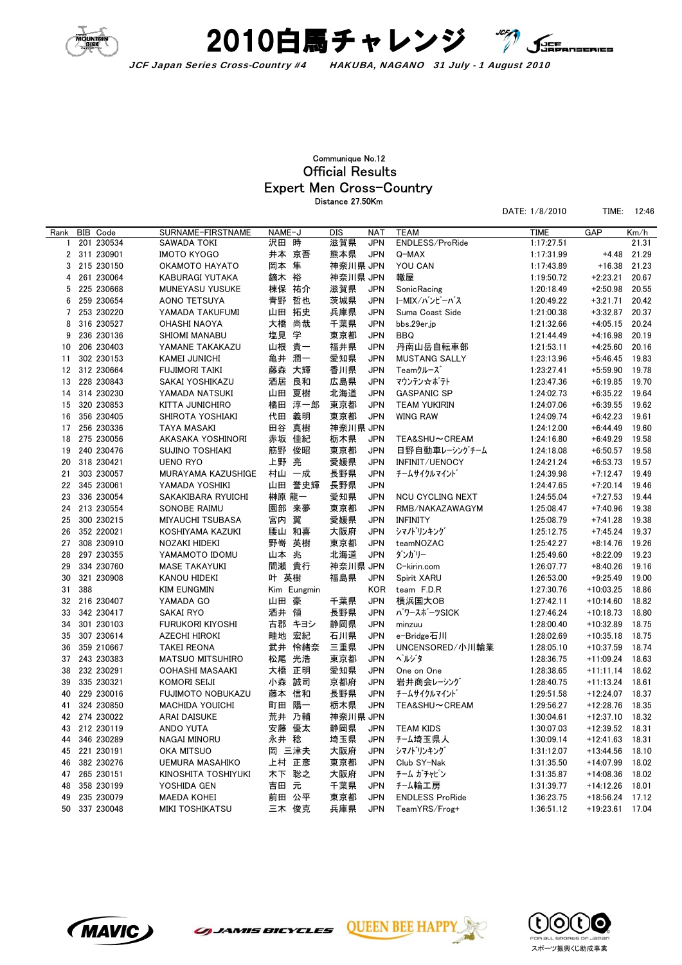



## Expert Men Cross-Country Official Results Communique No.12 Distance 27.50Km

DATE: 1/8/2010 TIME: 12:46

| ENDLESS/ProRide<br>201 230534<br>SAWADA TOKI<br>沢田 時<br>滋賀県<br><b>JPN</b><br>1:17:27.51<br>21.31<br>1<br>311 230901<br>井本 京吾<br>熊本県<br>$\overline{2}$<br><b>IMOTO KYOGO</b><br><b>JPN</b><br>1:17:31.99<br>$+4.48$<br>21.29<br>Q-MAX<br>岡本 隼<br>神奈川県 JPN<br>215 230150<br>YOU CAN<br>21.23<br>3<br>OKAMOTO HAYATO<br>1:17:43.89<br>$+16.38$<br>神奈川県 JPN<br>轍屋<br>261 230064<br>鏑木 裕<br>$+2:23.21$<br>20.67<br>4<br>KABURAGI YUTAKA<br>1:19:50.72<br>棟保 祐介<br>滋賀県<br>20.55<br>225 230668<br>MUNEYASU YUSUKE<br><b>JPN</b><br>SonicRacing<br>1:20:18.49<br>$+2:50.98$<br>5<br>青野 哲也<br>茨城県<br>259 230654<br><b>JPN</b><br>I-MIX/バンピーパス<br>20.42<br>6<br>AONO TETSUYA<br>1:20:49.22<br>$+3:21.71$<br>山田 拓史<br>253 230220<br>兵庫県<br><b>JPN</b><br>20.37<br>7<br>YAMADA TAKUFUMI<br>Suma Coast Side<br>1:21:00.38<br>$+3:32.87$<br>316 230527<br>大橋<br>尚哉<br>千葉県<br><b>JPN</b><br>20.24<br>8<br>bbs.29er.jp<br>1:21:32.66<br>$+4:05.15$<br>OHASHI NAOYA<br>塩見<br>学<br><b>JPN</b><br>20.19<br>9<br>236 230136<br>東京都<br><b>BBQ</b><br>$+4:16.98$<br>SHIOMI MANABU<br>1:21:44.49<br>206 230403<br>山根 貴一<br>福井県<br><b>JPN</b><br>丹南山岳自転車部<br>$+4:25.60$<br>20.16<br>10<br>YAMANE TAKAKAZU<br>1:21:53.11<br>潤一<br>302 230153<br>亀井<br>愛知県<br><b>JPN</b><br>$+5:46.45$<br>19.83<br><b>KAMEI JUNICHI</b><br><b>MUSTANG SALLY</b><br>1:23:13.96<br>11<br>大輝<br>香川県<br><b>JPN</b><br>312 230664<br><b>FUJIMORI TAIKI</b><br>藤森<br>Teamクルーズ<br>1:23:27.41<br>$+5:59.90$<br>19.78<br>12<br>酒居<br>良和<br>広島県<br><b>JPN</b><br>228 230843<br>SAKAI YOSHIKAZU<br>マウンテン☆ポテト<br>1:23:47.36<br>$+6:19.85$<br>19.70<br>13<br>北海道<br>314 230230<br>山田 夏樹<br><b>JPN</b><br><b>GASPANIC SP</b><br>1:24:02.73<br>$+6:35.22$<br>19.64<br>14<br>YAMADA NATSUKI<br>橘田 淳一郎<br>東京都<br>320 230853<br>KITTA JUNICHIRO<br><b>JPN</b><br><b>TEAM YUKIRIN</b><br>1:24:07.06<br>$+6:39.55$<br>19.62<br>15<br>356 230405<br>代田<br>義明<br>東京都<br><b>JPN</b><br>19.61<br>16<br>SHIROTA YOSHIAKI<br><b>WING RAW</b><br>1:24:09.74<br>$+6:42.23$<br>真樹<br>神奈川県 JPN<br>256 230336<br>田谷<br>19.60<br>17<br><b>TAYA MASAKI</b><br>1:24:12.00<br>$+6:44.49$<br>赤坂 佳紀<br>275 230056<br>栃木県<br><b>JPN</b><br>$+6:49.29$<br>19.58<br>18<br>AKASAKA YOSHINORI<br>TEA&SHU~CREAM<br>1:24:16.80<br>240 230476<br>筋野<br>俊昭<br>19<br><b>SUJINO TOSHIAKI</b><br>東京都<br><b>JPN</b><br>日野自動車レーシングチーム<br>$+6:50.57$<br>19.58<br>1:24:18.08<br>20<br>318 230421<br><b>UENO RYO</b><br>上野<br>亮<br>愛媛県<br><b>JPN</b><br>INFINIT/UENOCY<br>1:24:21.24<br>$+6:53.73$<br>19.57<br>長野県<br>303 230057<br>村山 一成<br><b>JPN</b><br>チームサイクルマイント゛<br>19.49<br>21<br>MURAYAMA KAZUSHIGE<br>1:24:39.98<br>$+7:12.47$<br>山田 誉史輝<br>長野県<br>345 230061<br><b>JPN</b><br>19.46<br>22<br>YAMADA YOSHIKI<br>1:24:47.65<br>$+7:20.14$<br>榊原 龍一<br>愛知県<br><b>JPN</b><br>$+7:27.53$<br>23<br>336 230054<br>SAKAKIBARA RYUICHI<br><b>NCU CYCLING NEXT</b><br>1:24:55.04<br>19.44<br>213 230554<br>SONOBE RAIMU<br>園部<br>来夢<br>東京都<br><b>JPN</b><br>1:25:08.47<br>$+7:40.96$<br>19.38<br>24<br>RMB/NAKAZAWAGYM<br>宮内 翼<br>25<br>300 230215<br><b>MIYAUCHI TSUBASA</b><br>愛媛県<br><b>JPN</b><br>1:25:08.79<br>$+7:41.28$<br>19.38<br><b>INFINITY</b><br>腰山 和喜<br>352 220021<br>大阪府<br><b>JPN</b><br>シマノドリンキング<br>$+7:45.24$<br>19.37<br>26<br>KOSHIYAMA KAZUKI<br>1:25:12.75<br>野嵜<br>英樹<br><b>JPN</b><br>27<br>308 230910<br>東京都<br>19.26<br>NOZAKI HIDEKI<br>teamNOZAC<br>1:25:42.27<br>$+8:14.76$<br>北海道<br>297 230355<br>山本 兆<br><b>JPN</b><br>ダンガリー<br>$+8:22.09$<br>19.23<br>28<br><b>YAMAMOTO IDOMU</b><br>1:25:49.60<br>334 230760<br>間瀬 貴行<br>神奈川県 JPN<br>$+8:40.26$<br>19.16<br>29<br><b>MASE TAKAYUKI</b><br>C-kirin.com<br>1:26:07.77<br>叶 英樹<br>30<br>321 230908<br>KANOU HIDEKI<br>福島県<br><b>JPN</b><br>Spirit XARU<br>1:26:53.00<br>$+9:25.49$<br>19.00<br>388<br>team F.D.R<br>$+10:03.25$<br>18.86<br>31<br><b>KIM EUNGMIN</b><br>Kim Eungmin<br><b>KOR</b><br>1:27:30.76<br>216 230407<br>山田 豪<br><b>JPN</b><br>18.82<br>32<br>YAMADA GO<br>千葉県<br>横浜国大OB<br>1:27:42.11<br>$+10:14.60$<br>342 230417<br>領<br>長野県<br><b>JPN</b><br>33<br><b>SAKAI RYO</b><br>酒井<br>パワースポーツSICK<br>1:27:46.24<br>$+10:18.73$<br>18.80<br>古郡 キヨシ<br>静岡県<br><b>JPN</b><br>18.75<br>34<br>301 230103<br>FURUKORI KIYOSHI<br>minzuu<br>1:28:00.40<br>$+10:32.89$<br>宏紀<br>畦地<br>石川県<br>35<br>307 230614<br>AZECHI HIROKI<br><b>JPN</b><br>e-Bridge石川<br>1:28:02.69<br>$+10:35.18$<br>18.75<br>武井 怜緒奈<br>三重県<br>359 210667<br><b>JPN</b><br>UNCENSORED/小川輪業<br>$+10:37.59$<br>18.74<br>36<br>TAKEI REONA<br>1:28:05.10<br>松尾<br>光浩<br>東京都<br><b>JPN</b><br>ヘルジタ<br>243 230383<br>$+11:09.24$<br>18.63<br>37<br><b>MATSUO MITSUHIRO</b><br>1:28:36.75<br>大橋 正明<br>232 230291<br>愛知県<br><b>JPN</b><br>18.62<br>38<br><b>OOHASHI MASAAKI</b><br>One on One<br>1:28:38.65<br>$+11:11.14$<br>335 230321<br>小森<br>誠司<br>京都府<br><b>JPN</b><br>岩井商会レーシング<br>39<br>KOMORI SEIJI<br>1:28:40.75<br>$+11:13.24$<br>18.61<br>229 230016<br>信和<br>長野県<br>18.37<br>40<br>FUJIMOTO NOBUKAZU<br>藤本<br><b>JPN</b><br>チームサイクルマイント<br>1:29:51.58<br>$+12:24.07$<br>陽一<br>町田<br>324 230850<br>栃木県<br><b>JPN</b><br>TEA&SHU~CREAM<br>$+12:28.76$<br>18.35<br>41<br><b>MACHIDA YOUICHI</b><br>1:29:56.27<br>274 230022<br>荒井<br>乃輔<br>神奈川県 JPN<br>$+12:37.10$<br>18.32<br>42<br><b>ARAI DAISUKE</b><br>1:30:04.61<br>安藤 優太<br>43<br>212 230119<br><b>ANDO YUTA</b><br>静岡県<br><b>JPN</b><br><b>TEAM KIDS</b><br>1:30:07.03<br>$+12:39.52$<br>18.31<br>永井 稔<br>346 230289<br>埼玉県<br><b>JPN</b><br>チーム埼玉県人<br>$+12:41.63$<br>18.31<br>44<br>NAGAI MINORU<br>1:30:09.14<br>岡 三津夫<br>大阪府<br>45<br>221 230191<br>OKA MITSUO<br><b>JPN</b><br>シマノドリンキング<br>1:31:12.07<br>$+13:44.56$<br>18.10<br>上村 正彦<br><b>JPN</b><br>382 230276<br>東京都<br>Club SY-Nak<br>$+14:07.99$<br>18.02<br>46<br>UEMURA MASAHIKO<br>1:31:35.50<br>聡之<br>大阪府<br><b>JPN</b><br>265 230151<br>KINOSHITA TOSHIYUKI<br>木下<br>チーム ガチャピン<br>$+14:08.36$<br>18.02<br>47<br>1:31:35.87<br>元<br>358 230199<br>YOSHIDA GEN<br>吉田<br>千葉県<br><b>JPN</b><br>チーム輪工房<br>$+14:12.26$<br>18.01<br>48<br>1:31:39.77<br>前田<br>公平<br>東京都<br><b>JPN</b><br>17.12<br>49<br>235 230079<br><b>MAEDA KOHEI</b><br><b>ENDLESS ProRide</b><br>1:36:23.75<br>$+18:56.24$<br>50<br>337 230048<br><b>MIKI TOSHIKATSU</b><br>三木 俊克<br>兵庫県<br><b>JPN</b><br>TeamYRS/Frog+<br>1:36:51.12<br>$+19:23.61$<br>17.04 | Rank | <b>BIB</b> Code | SURNAME-FIRSTNAME | NAME-J | DIS | <b>NAT</b> | <b>TEAM</b> | <b>TIME</b> | GAP | Km/h |
|-----------------------------------------------------------------------------------------------------------------------------------------------------------------------------------------------------------------------------------------------------------------------------------------------------------------------------------------------------------------------------------------------------------------------------------------------------------------------------------------------------------------------------------------------------------------------------------------------------------------------------------------------------------------------------------------------------------------------------------------------------------------------------------------------------------------------------------------------------------------------------------------------------------------------------------------------------------------------------------------------------------------------------------------------------------------------------------------------------------------------------------------------------------------------------------------------------------------------------------------------------------------------------------------------------------------------------------------------------------------------------------------------------------------------------------------------------------------------------------------------------------------------------------------------------------------------------------------------------------------------------------------------------------------------------------------------------------------------------------------------------------------------------------------------------------------------------------------------------------------------------------------------------------------------------------------------------------------------------------------------------------------------------------------------------------------------------------------------------------------------------------------------------------------------------------------------------------------------------------------------------------------------------------------------------------------------------------------------------------------------------------------------------------------------------------------------------------------------------------------------------------------------------------------------------------------------------------------------------------------------------------------------------------------------------------------------------------------------------------------------------------------------------------------------------------------------------------------------------------------------------------------------------------------------------------------------------------------------------------------------------------------------------------------------------------------------------------------------------------------------------------------------------------------------------------------------------------------------------------------------------------------------------------------------------------------------------------------------------------------------------------------------------------------------------------------------------------------------------------------------------------------------------------------------------------------------------------------------------------------------------------------------------------------------------------------------------------------------------------------------------------------------------------------------------------------------------------------------------------------------------------------------------------------------------------------------------------------------------------------------------------------------------------------------------------------------------------------------------------------------------------------------------------------------------------------------------------------------------------------------------------------------------------------------------------------------------------------------------------------------------------------------------------------------------------------------------------------------------------------------------------------------------------------------------------------------------------------------------------------------------------------------------------------------------------------------------------------------------------------------------------------------------------------------------------------------------------------------------------------------------------------------------------------------------------------------------------------------------------------------------------------------------------------------------------------------------------------------------------------------------------------------------------------------------------------------------------------------------------------------------------------------------------------------------------------------------------------------------------------------------------------------------------------------------------------------------------------------------------------------------------------------------------------------------------------------------------------------------------------------------------------------------------------------------------------------------------------------------------------------------------------------------------------------------------------------------------------------------------------------------------------------------------------------------------------------------------------------------------------------------------------------------------------------------------------------------------------------------------------------------------------------------------------------------------------------------------------------------------------------------------------------------------------------------------------------------|------|-----------------|-------------------|--------|-----|------------|-------------|-------------|-----|------|
|                                                                                                                                                                                                                                                                                                                                                                                                                                                                                                                                                                                                                                                                                                                                                                                                                                                                                                                                                                                                                                                                                                                                                                                                                                                                                                                                                                                                                                                                                                                                                                                                                                                                                                                                                                                                                                                                                                                                                                                                                                                                                                                                                                                                                                                                                                                                                                                                                                                                                                                                                                                                                                                                                                                                                                                                                                                                                                                                                                                                                                                                                                                                                                                                                                                                                                                                                                                                                                                                                                                                                                                                                                                                                                                                                                                                                                                                                                                                                                                                                                                                                                                                                                                                                                                                                                                                                                                                                                                                                                                                                                                                                                                                                                                                                                                                                                                                                                                                                                                                                                                                                                                                                                                                                                                                                                                                                                                                                                                                                                                                                                                                                                                                                                                                                                                                                                                                                                                                                                                                                                                                                                                                                                                                                                                                                                                             |      |                 |                   |        |     |            |             |             |     |      |
|                                                                                                                                                                                                                                                                                                                                                                                                                                                                                                                                                                                                                                                                                                                                                                                                                                                                                                                                                                                                                                                                                                                                                                                                                                                                                                                                                                                                                                                                                                                                                                                                                                                                                                                                                                                                                                                                                                                                                                                                                                                                                                                                                                                                                                                                                                                                                                                                                                                                                                                                                                                                                                                                                                                                                                                                                                                                                                                                                                                                                                                                                                                                                                                                                                                                                                                                                                                                                                                                                                                                                                                                                                                                                                                                                                                                                                                                                                                                                                                                                                                                                                                                                                                                                                                                                                                                                                                                                                                                                                                                                                                                                                                                                                                                                                                                                                                                                                                                                                                                                                                                                                                                                                                                                                                                                                                                                                                                                                                                                                                                                                                                                                                                                                                                                                                                                                                                                                                                                                                                                                                                                                                                                                                                                                                                                                                             |      |                 |                   |        |     |            |             |             |     |      |
|                                                                                                                                                                                                                                                                                                                                                                                                                                                                                                                                                                                                                                                                                                                                                                                                                                                                                                                                                                                                                                                                                                                                                                                                                                                                                                                                                                                                                                                                                                                                                                                                                                                                                                                                                                                                                                                                                                                                                                                                                                                                                                                                                                                                                                                                                                                                                                                                                                                                                                                                                                                                                                                                                                                                                                                                                                                                                                                                                                                                                                                                                                                                                                                                                                                                                                                                                                                                                                                                                                                                                                                                                                                                                                                                                                                                                                                                                                                                                                                                                                                                                                                                                                                                                                                                                                                                                                                                                                                                                                                                                                                                                                                                                                                                                                                                                                                                                                                                                                                                                                                                                                                                                                                                                                                                                                                                                                                                                                                                                                                                                                                                                                                                                                                                                                                                                                                                                                                                                                                                                                                                                                                                                                                                                                                                                                                             |      |                 |                   |        |     |            |             |             |     |      |
|                                                                                                                                                                                                                                                                                                                                                                                                                                                                                                                                                                                                                                                                                                                                                                                                                                                                                                                                                                                                                                                                                                                                                                                                                                                                                                                                                                                                                                                                                                                                                                                                                                                                                                                                                                                                                                                                                                                                                                                                                                                                                                                                                                                                                                                                                                                                                                                                                                                                                                                                                                                                                                                                                                                                                                                                                                                                                                                                                                                                                                                                                                                                                                                                                                                                                                                                                                                                                                                                                                                                                                                                                                                                                                                                                                                                                                                                                                                                                                                                                                                                                                                                                                                                                                                                                                                                                                                                                                                                                                                                                                                                                                                                                                                                                                                                                                                                                                                                                                                                                                                                                                                                                                                                                                                                                                                                                                                                                                                                                                                                                                                                                                                                                                                                                                                                                                                                                                                                                                                                                                                                                                                                                                                                                                                                                                                             |      |                 |                   |        |     |            |             |             |     |      |
|                                                                                                                                                                                                                                                                                                                                                                                                                                                                                                                                                                                                                                                                                                                                                                                                                                                                                                                                                                                                                                                                                                                                                                                                                                                                                                                                                                                                                                                                                                                                                                                                                                                                                                                                                                                                                                                                                                                                                                                                                                                                                                                                                                                                                                                                                                                                                                                                                                                                                                                                                                                                                                                                                                                                                                                                                                                                                                                                                                                                                                                                                                                                                                                                                                                                                                                                                                                                                                                                                                                                                                                                                                                                                                                                                                                                                                                                                                                                                                                                                                                                                                                                                                                                                                                                                                                                                                                                                                                                                                                                                                                                                                                                                                                                                                                                                                                                                                                                                                                                                                                                                                                                                                                                                                                                                                                                                                                                                                                                                                                                                                                                                                                                                                                                                                                                                                                                                                                                                                                                                                                                                                                                                                                                                                                                                                                             |      |                 |                   |        |     |            |             |             |     |      |
|                                                                                                                                                                                                                                                                                                                                                                                                                                                                                                                                                                                                                                                                                                                                                                                                                                                                                                                                                                                                                                                                                                                                                                                                                                                                                                                                                                                                                                                                                                                                                                                                                                                                                                                                                                                                                                                                                                                                                                                                                                                                                                                                                                                                                                                                                                                                                                                                                                                                                                                                                                                                                                                                                                                                                                                                                                                                                                                                                                                                                                                                                                                                                                                                                                                                                                                                                                                                                                                                                                                                                                                                                                                                                                                                                                                                                                                                                                                                                                                                                                                                                                                                                                                                                                                                                                                                                                                                                                                                                                                                                                                                                                                                                                                                                                                                                                                                                                                                                                                                                                                                                                                                                                                                                                                                                                                                                                                                                                                                                                                                                                                                                                                                                                                                                                                                                                                                                                                                                                                                                                                                                                                                                                                                                                                                                                                             |      |                 |                   |        |     |            |             |             |     |      |
|                                                                                                                                                                                                                                                                                                                                                                                                                                                                                                                                                                                                                                                                                                                                                                                                                                                                                                                                                                                                                                                                                                                                                                                                                                                                                                                                                                                                                                                                                                                                                                                                                                                                                                                                                                                                                                                                                                                                                                                                                                                                                                                                                                                                                                                                                                                                                                                                                                                                                                                                                                                                                                                                                                                                                                                                                                                                                                                                                                                                                                                                                                                                                                                                                                                                                                                                                                                                                                                                                                                                                                                                                                                                                                                                                                                                                                                                                                                                                                                                                                                                                                                                                                                                                                                                                                                                                                                                                                                                                                                                                                                                                                                                                                                                                                                                                                                                                                                                                                                                                                                                                                                                                                                                                                                                                                                                                                                                                                                                                                                                                                                                                                                                                                                                                                                                                                                                                                                                                                                                                                                                                                                                                                                                                                                                                                                             |      |                 |                   |        |     |            |             |             |     |      |
|                                                                                                                                                                                                                                                                                                                                                                                                                                                                                                                                                                                                                                                                                                                                                                                                                                                                                                                                                                                                                                                                                                                                                                                                                                                                                                                                                                                                                                                                                                                                                                                                                                                                                                                                                                                                                                                                                                                                                                                                                                                                                                                                                                                                                                                                                                                                                                                                                                                                                                                                                                                                                                                                                                                                                                                                                                                                                                                                                                                                                                                                                                                                                                                                                                                                                                                                                                                                                                                                                                                                                                                                                                                                                                                                                                                                                                                                                                                                                                                                                                                                                                                                                                                                                                                                                                                                                                                                                                                                                                                                                                                                                                                                                                                                                                                                                                                                                                                                                                                                                                                                                                                                                                                                                                                                                                                                                                                                                                                                                                                                                                                                                                                                                                                                                                                                                                                                                                                                                                                                                                                                                                                                                                                                                                                                                                                             |      |                 |                   |        |     |            |             |             |     |      |
|                                                                                                                                                                                                                                                                                                                                                                                                                                                                                                                                                                                                                                                                                                                                                                                                                                                                                                                                                                                                                                                                                                                                                                                                                                                                                                                                                                                                                                                                                                                                                                                                                                                                                                                                                                                                                                                                                                                                                                                                                                                                                                                                                                                                                                                                                                                                                                                                                                                                                                                                                                                                                                                                                                                                                                                                                                                                                                                                                                                                                                                                                                                                                                                                                                                                                                                                                                                                                                                                                                                                                                                                                                                                                                                                                                                                                                                                                                                                                                                                                                                                                                                                                                                                                                                                                                                                                                                                                                                                                                                                                                                                                                                                                                                                                                                                                                                                                                                                                                                                                                                                                                                                                                                                                                                                                                                                                                                                                                                                                                                                                                                                                                                                                                                                                                                                                                                                                                                                                                                                                                                                                                                                                                                                                                                                                                                             |      |                 |                   |        |     |            |             |             |     |      |
|                                                                                                                                                                                                                                                                                                                                                                                                                                                                                                                                                                                                                                                                                                                                                                                                                                                                                                                                                                                                                                                                                                                                                                                                                                                                                                                                                                                                                                                                                                                                                                                                                                                                                                                                                                                                                                                                                                                                                                                                                                                                                                                                                                                                                                                                                                                                                                                                                                                                                                                                                                                                                                                                                                                                                                                                                                                                                                                                                                                                                                                                                                                                                                                                                                                                                                                                                                                                                                                                                                                                                                                                                                                                                                                                                                                                                                                                                                                                                                                                                                                                                                                                                                                                                                                                                                                                                                                                                                                                                                                                                                                                                                                                                                                                                                                                                                                                                                                                                                                                                                                                                                                                                                                                                                                                                                                                                                                                                                                                                                                                                                                                                                                                                                                                                                                                                                                                                                                                                                                                                                                                                                                                                                                                                                                                                                                             |      |                 |                   |        |     |            |             |             |     |      |
|                                                                                                                                                                                                                                                                                                                                                                                                                                                                                                                                                                                                                                                                                                                                                                                                                                                                                                                                                                                                                                                                                                                                                                                                                                                                                                                                                                                                                                                                                                                                                                                                                                                                                                                                                                                                                                                                                                                                                                                                                                                                                                                                                                                                                                                                                                                                                                                                                                                                                                                                                                                                                                                                                                                                                                                                                                                                                                                                                                                                                                                                                                                                                                                                                                                                                                                                                                                                                                                                                                                                                                                                                                                                                                                                                                                                                                                                                                                                                                                                                                                                                                                                                                                                                                                                                                                                                                                                                                                                                                                                                                                                                                                                                                                                                                                                                                                                                                                                                                                                                                                                                                                                                                                                                                                                                                                                                                                                                                                                                                                                                                                                                                                                                                                                                                                                                                                                                                                                                                                                                                                                                                                                                                                                                                                                                                                             |      |                 |                   |        |     |            |             |             |     |      |
|                                                                                                                                                                                                                                                                                                                                                                                                                                                                                                                                                                                                                                                                                                                                                                                                                                                                                                                                                                                                                                                                                                                                                                                                                                                                                                                                                                                                                                                                                                                                                                                                                                                                                                                                                                                                                                                                                                                                                                                                                                                                                                                                                                                                                                                                                                                                                                                                                                                                                                                                                                                                                                                                                                                                                                                                                                                                                                                                                                                                                                                                                                                                                                                                                                                                                                                                                                                                                                                                                                                                                                                                                                                                                                                                                                                                                                                                                                                                                                                                                                                                                                                                                                                                                                                                                                                                                                                                                                                                                                                                                                                                                                                                                                                                                                                                                                                                                                                                                                                                                                                                                                                                                                                                                                                                                                                                                                                                                                                                                                                                                                                                                                                                                                                                                                                                                                                                                                                                                                                                                                                                                                                                                                                                                                                                                                                             |      |                 |                   |        |     |            |             |             |     |      |
|                                                                                                                                                                                                                                                                                                                                                                                                                                                                                                                                                                                                                                                                                                                                                                                                                                                                                                                                                                                                                                                                                                                                                                                                                                                                                                                                                                                                                                                                                                                                                                                                                                                                                                                                                                                                                                                                                                                                                                                                                                                                                                                                                                                                                                                                                                                                                                                                                                                                                                                                                                                                                                                                                                                                                                                                                                                                                                                                                                                                                                                                                                                                                                                                                                                                                                                                                                                                                                                                                                                                                                                                                                                                                                                                                                                                                                                                                                                                                                                                                                                                                                                                                                                                                                                                                                                                                                                                                                                                                                                                                                                                                                                                                                                                                                                                                                                                                                                                                                                                                                                                                                                                                                                                                                                                                                                                                                                                                                                                                                                                                                                                                                                                                                                                                                                                                                                                                                                                                                                                                                                                                                                                                                                                                                                                                                                             |      |                 |                   |        |     |            |             |             |     |      |
|                                                                                                                                                                                                                                                                                                                                                                                                                                                                                                                                                                                                                                                                                                                                                                                                                                                                                                                                                                                                                                                                                                                                                                                                                                                                                                                                                                                                                                                                                                                                                                                                                                                                                                                                                                                                                                                                                                                                                                                                                                                                                                                                                                                                                                                                                                                                                                                                                                                                                                                                                                                                                                                                                                                                                                                                                                                                                                                                                                                                                                                                                                                                                                                                                                                                                                                                                                                                                                                                                                                                                                                                                                                                                                                                                                                                                                                                                                                                                                                                                                                                                                                                                                                                                                                                                                                                                                                                                                                                                                                                                                                                                                                                                                                                                                                                                                                                                                                                                                                                                                                                                                                                                                                                                                                                                                                                                                                                                                                                                                                                                                                                                                                                                                                                                                                                                                                                                                                                                                                                                                                                                                                                                                                                                                                                                                                             |      |                 |                   |        |     |            |             |             |     |      |
|                                                                                                                                                                                                                                                                                                                                                                                                                                                                                                                                                                                                                                                                                                                                                                                                                                                                                                                                                                                                                                                                                                                                                                                                                                                                                                                                                                                                                                                                                                                                                                                                                                                                                                                                                                                                                                                                                                                                                                                                                                                                                                                                                                                                                                                                                                                                                                                                                                                                                                                                                                                                                                                                                                                                                                                                                                                                                                                                                                                                                                                                                                                                                                                                                                                                                                                                                                                                                                                                                                                                                                                                                                                                                                                                                                                                                                                                                                                                                                                                                                                                                                                                                                                                                                                                                                                                                                                                                                                                                                                                                                                                                                                                                                                                                                                                                                                                                                                                                                                                                                                                                                                                                                                                                                                                                                                                                                                                                                                                                                                                                                                                                                                                                                                                                                                                                                                                                                                                                                                                                                                                                                                                                                                                                                                                                                                             |      |                 |                   |        |     |            |             |             |     |      |
|                                                                                                                                                                                                                                                                                                                                                                                                                                                                                                                                                                                                                                                                                                                                                                                                                                                                                                                                                                                                                                                                                                                                                                                                                                                                                                                                                                                                                                                                                                                                                                                                                                                                                                                                                                                                                                                                                                                                                                                                                                                                                                                                                                                                                                                                                                                                                                                                                                                                                                                                                                                                                                                                                                                                                                                                                                                                                                                                                                                                                                                                                                                                                                                                                                                                                                                                                                                                                                                                                                                                                                                                                                                                                                                                                                                                                                                                                                                                                                                                                                                                                                                                                                                                                                                                                                                                                                                                                                                                                                                                                                                                                                                                                                                                                                                                                                                                                                                                                                                                                                                                                                                                                                                                                                                                                                                                                                                                                                                                                                                                                                                                                                                                                                                                                                                                                                                                                                                                                                                                                                                                                                                                                                                                                                                                                                                             |      |                 |                   |        |     |            |             |             |     |      |
|                                                                                                                                                                                                                                                                                                                                                                                                                                                                                                                                                                                                                                                                                                                                                                                                                                                                                                                                                                                                                                                                                                                                                                                                                                                                                                                                                                                                                                                                                                                                                                                                                                                                                                                                                                                                                                                                                                                                                                                                                                                                                                                                                                                                                                                                                                                                                                                                                                                                                                                                                                                                                                                                                                                                                                                                                                                                                                                                                                                                                                                                                                                                                                                                                                                                                                                                                                                                                                                                                                                                                                                                                                                                                                                                                                                                                                                                                                                                                                                                                                                                                                                                                                                                                                                                                                                                                                                                                                                                                                                                                                                                                                                                                                                                                                                                                                                                                                                                                                                                                                                                                                                                                                                                                                                                                                                                                                                                                                                                                                                                                                                                                                                                                                                                                                                                                                                                                                                                                                                                                                                                                                                                                                                                                                                                                                                             |      |                 |                   |        |     |            |             |             |     |      |
|                                                                                                                                                                                                                                                                                                                                                                                                                                                                                                                                                                                                                                                                                                                                                                                                                                                                                                                                                                                                                                                                                                                                                                                                                                                                                                                                                                                                                                                                                                                                                                                                                                                                                                                                                                                                                                                                                                                                                                                                                                                                                                                                                                                                                                                                                                                                                                                                                                                                                                                                                                                                                                                                                                                                                                                                                                                                                                                                                                                                                                                                                                                                                                                                                                                                                                                                                                                                                                                                                                                                                                                                                                                                                                                                                                                                                                                                                                                                                                                                                                                                                                                                                                                                                                                                                                                                                                                                                                                                                                                                                                                                                                                                                                                                                                                                                                                                                                                                                                                                                                                                                                                                                                                                                                                                                                                                                                                                                                                                                                                                                                                                                                                                                                                                                                                                                                                                                                                                                                                                                                                                                                                                                                                                                                                                                                                             |      |                 |                   |        |     |            |             |             |     |      |
|                                                                                                                                                                                                                                                                                                                                                                                                                                                                                                                                                                                                                                                                                                                                                                                                                                                                                                                                                                                                                                                                                                                                                                                                                                                                                                                                                                                                                                                                                                                                                                                                                                                                                                                                                                                                                                                                                                                                                                                                                                                                                                                                                                                                                                                                                                                                                                                                                                                                                                                                                                                                                                                                                                                                                                                                                                                                                                                                                                                                                                                                                                                                                                                                                                                                                                                                                                                                                                                                                                                                                                                                                                                                                                                                                                                                                                                                                                                                                                                                                                                                                                                                                                                                                                                                                                                                                                                                                                                                                                                                                                                                                                                                                                                                                                                                                                                                                                                                                                                                                                                                                                                                                                                                                                                                                                                                                                                                                                                                                                                                                                                                                                                                                                                                                                                                                                                                                                                                                                                                                                                                                                                                                                                                                                                                                                                             |      |                 |                   |        |     |            |             |             |     |      |
|                                                                                                                                                                                                                                                                                                                                                                                                                                                                                                                                                                                                                                                                                                                                                                                                                                                                                                                                                                                                                                                                                                                                                                                                                                                                                                                                                                                                                                                                                                                                                                                                                                                                                                                                                                                                                                                                                                                                                                                                                                                                                                                                                                                                                                                                                                                                                                                                                                                                                                                                                                                                                                                                                                                                                                                                                                                                                                                                                                                                                                                                                                                                                                                                                                                                                                                                                                                                                                                                                                                                                                                                                                                                                                                                                                                                                                                                                                                                                                                                                                                                                                                                                                                                                                                                                                                                                                                                                                                                                                                                                                                                                                                                                                                                                                                                                                                                                                                                                                                                                                                                                                                                                                                                                                                                                                                                                                                                                                                                                                                                                                                                                                                                                                                                                                                                                                                                                                                                                                                                                                                                                                                                                                                                                                                                                                                             |      |                 |                   |        |     |            |             |             |     |      |
|                                                                                                                                                                                                                                                                                                                                                                                                                                                                                                                                                                                                                                                                                                                                                                                                                                                                                                                                                                                                                                                                                                                                                                                                                                                                                                                                                                                                                                                                                                                                                                                                                                                                                                                                                                                                                                                                                                                                                                                                                                                                                                                                                                                                                                                                                                                                                                                                                                                                                                                                                                                                                                                                                                                                                                                                                                                                                                                                                                                                                                                                                                                                                                                                                                                                                                                                                                                                                                                                                                                                                                                                                                                                                                                                                                                                                                                                                                                                                                                                                                                                                                                                                                                                                                                                                                                                                                                                                                                                                                                                                                                                                                                                                                                                                                                                                                                                                                                                                                                                                                                                                                                                                                                                                                                                                                                                                                                                                                                                                                                                                                                                                                                                                                                                                                                                                                                                                                                                                                                                                                                                                                                                                                                                                                                                                                                             |      |                 |                   |        |     |            |             |             |     |      |
|                                                                                                                                                                                                                                                                                                                                                                                                                                                                                                                                                                                                                                                                                                                                                                                                                                                                                                                                                                                                                                                                                                                                                                                                                                                                                                                                                                                                                                                                                                                                                                                                                                                                                                                                                                                                                                                                                                                                                                                                                                                                                                                                                                                                                                                                                                                                                                                                                                                                                                                                                                                                                                                                                                                                                                                                                                                                                                                                                                                                                                                                                                                                                                                                                                                                                                                                                                                                                                                                                                                                                                                                                                                                                                                                                                                                                                                                                                                                                                                                                                                                                                                                                                                                                                                                                                                                                                                                                                                                                                                                                                                                                                                                                                                                                                                                                                                                                                                                                                                                                                                                                                                                                                                                                                                                                                                                                                                                                                                                                                                                                                                                                                                                                                                                                                                                                                                                                                                                                                                                                                                                                                                                                                                                                                                                                                                             |      |                 |                   |        |     |            |             |             |     |      |
|                                                                                                                                                                                                                                                                                                                                                                                                                                                                                                                                                                                                                                                                                                                                                                                                                                                                                                                                                                                                                                                                                                                                                                                                                                                                                                                                                                                                                                                                                                                                                                                                                                                                                                                                                                                                                                                                                                                                                                                                                                                                                                                                                                                                                                                                                                                                                                                                                                                                                                                                                                                                                                                                                                                                                                                                                                                                                                                                                                                                                                                                                                                                                                                                                                                                                                                                                                                                                                                                                                                                                                                                                                                                                                                                                                                                                                                                                                                                                                                                                                                                                                                                                                                                                                                                                                                                                                                                                                                                                                                                                                                                                                                                                                                                                                                                                                                                                                                                                                                                                                                                                                                                                                                                                                                                                                                                                                                                                                                                                                                                                                                                                                                                                                                                                                                                                                                                                                                                                                                                                                                                                                                                                                                                                                                                                                                             |      |                 |                   |        |     |            |             |             |     |      |
|                                                                                                                                                                                                                                                                                                                                                                                                                                                                                                                                                                                                                                                                                                                                                                                                                                                                                                                                                                                                                                                                                                                                                                                                                                                                                                                                                                                                                                                                                                                                                                                                                                                                                                                                                                                                                                                                                                                                                                                                                                                                                                                                                                                                                                                                                                                                                                                                                                                                                                                                                                                                                                                                                                                                                                                                                                                                                                                                                                                                                                                                                                                                                                                                                                                                                                                                                                                                                                                                                                                                                                                                                                                                                                                                                                                                                                                                                                                                                                                                                                                                                                                                                                                                                                                                                                                                                                                                                                                                                                                                                                                                                                                                                                                                                                                                                                                                                                                                                                                                                                                                                                                                                                                                                                                                                                                                                                                                                                                                                                                                                                                                                                                                                                                                                                                                                                                                                                                                                                                                                                                                                                                                                                                                                                                                                                                             |      |                 |                   |        |     |            |             |             |     |      |
|                                                                                                                                                                                                                                                                                                                                                                                                                                                                                                                                                                                                                                                                                                                                                                                                                                                                                                                                                                                                                                                                                                                                                                                                                                                                                                                                                                                                                                                                                                                                                                                                                                                                                                                                                                                                                                                                                                                                                                                                                                                                                                                                                                                                                                                                                                                                                                                                                                                                                                                                                                                                                                                                                                                                                                                                                                                                                                                                                                                                                                                                                                                                                                                                                                                                                                                                                                                                                                                                                                                                                                                                                                                                                                                                                                                                                                                                                                                                                                                                                                                                                                                                                                                                                                                                                                                                                                                                                                                                                                                                                                                                                                                                                                                                                                                                                                                                                                                                                                                                                                                                                                                                                                                                                                                                                                                                                                                                                                                                                                                                                                                                                                                                                                                                                                                                                                                                                                                                                                                                                                                                                                                                                                                                                                                                                                                             |      |                 |                   |        |     |            |             |             |     |      |
|                                                                                                                                                                                                                                                                                                                                                                                                                                                                                                                                                                                                                                                                                                                                                                                                                                                                                                                                                                                                                                                                                                                                                                                                                                                                                                                                                                                                                                                                                                                                                                                                                                                                                                                                                                                                                                                                                                                                                                                                                                                                                                                                                                                                                                                                                                                                                                                                                                                                                                                                                                                                                                                                                                                                                                                                                                                                                                                                                                                                                                                                                                                                                                                                                                                                                                                                                                                                                                                                                                                                                                                                                                                                                                                                                                                                                                                                                                                                                                                                                                                                                                                                                                                                                                                                                                                                                                                                                                                                                                                                                                                                                                                                                                                                                                                                                                                                                                                                                                                                                                                                                                                                                                                                                                                                                                                                                                                                                                                                                                                                                                                                                                                                                                                                                                                                                                                                                                                                                                                                                                                                                                                                                                                                                                                                                                                             |      |                 |                   |        |     |            |             |             |     |      |
|                                                                                                                                                                                                                                                                                                                                                                                                                                                                                                                                                                                                                                                                                                                                                                                                                                                                                                                                                                                                                                                                                                                                                                                                                                                                                                                                                                                                                                                                                                                                                                                                                                                                                                                                                                                                                                                                                                                                                                                                                                                                                                                                                                                                                                                                                                                                                                                                                                                                                                                                                                                                                                                                                                                                                                                                                                                                                                                                                                                                                                                                                                                                                                                                                                                                                                                                                                                                                                                                                                                                                                                                                                                                                                                                                                                                                                                                                                                                                                                                                                                                                                                                                                                                                                                                                                                                                                                                                                                                                                                                                                                                                                                                                                                                                                                                                                                                                                                                                                                                                                                                                                                                                                                                                                                                                                                                                                                                                                                                                                                                                                                                                                                                                                                                                                                                                                                                                                                                                                                                                                                                                                                                                                                                                                                                                                                             |      |                 |                   |        |     |            |             |             |     |      |
|                                                                                                                                                                                                                                                                                                                                                                                                                                                                                                                                                                                                                                                                                                                                                                                                                                                                                                                                                                                                                                                                                                                                                                                                                                                                                                                                                                                                                                                                                                                                                                                                                                                                                                                                                                                                                                                                                                                                                                                                                                                                                                                                                                                                                                                                                                                                                                                                                                                                                                                                                                                                                                                                                                                                                                                                                                                                                                                                                                                                                                                                                                                                                                                                                                                                                                                                                                                                                                                                                                                                                                                                                                                                                                                                                                                                                                                                                                                                                                                                                                                                                                                                                                                                                                                                                                                                                                                                                                                                                                                                                                                                                                                                                                                                                                                                                                                                                                                                                                                                                                                                                                                                                                                                                                                                                                                                                                                                                                                                                                                                                                                                                                                                                                                                                                                                                                                                                                                                                                                                                                                                                                                                                                                                                                                                                                                             |      |                 |                   |        |     |            |             |             |     |      |
|                                                                                                                                                                                                                                                                                                                                                                                                                                                                                                                                                                                                                                                                                                                                                                                                                                                                                                                                                                                                                                                                                                                                                                                                                                                                                                                                                                                                                                                                                                                                                                                                                                                                                                                                                                                                                                                                                                                                                                                                                                                                                                                                                                                                                                                                                                                                                                                                                                                                                                                                                                                                                                                                                                                                                                                                                                                                                                                                                                                                                                                                                                                                                                                                                                                                                                                                                                                                                                                                                                                                                                                                                                                                                                                                                                                                                                                                                                                                                                                                                                                                                                                                                                                                                                                                                                                                                                                                                                                                                                                                                                                                                                                                                                                                                                                                                                                                                                                                                                                                                                                                                                                                                                                                                                                                                                                                                                                                                                                                                                                                                                                                                                                                                                                                                                                                                                                                                                                                                                                                                                                                                                                                                                                                                                                                                                                             |      |                 |                   |        |     |            |             |             |     |      |
|                                                                                                                                                                                                                                                                                                                                                                                                                                                                                                                                                                                                                                                                                                                                                                                                                                                                                                                                                                                                                                                                                                                                                                                                                                                                                                                                                                                                                                                                                                                                                                                                                                                                                                                                                                                                                                                                                                                                                                                                                                                                                                                                                                                                                                                                                                                                                                                                                                                                                                                                                                                                                                                                                                                                                                                                                                                                                                                                                                                                                                                                                                                                                                                                                                                                                                                                                                                                                                                                                                                                                                                                                                                                                                                                                                                                                                                                                                                                                                                                                                                                                                                                                                                                                                                                                                                                                                                                                                                                                                                                                                                                                                                                                                                                                                                                                                                                                                                                                                                                                                                                                                                                                                                                                                                                                                                                                                                                                                                                                                                                                                                                                                                                                                                                                                                                                                                                                                                                                                                                                                                                                                                                                                                                                                                                                                                             |      |                 |                   |        |     |            |             |             |     |      |
|                                                                                                                                                                                                                                                                                                                                                                                                                                                                                                                                                                                                                                                                                                                                                                                                                                                                                                                                                                                                                                                                                                                                                                                                                                                                                                                                                                                                                                                                                                                                                                                                                                                                                                                                                                                                                                                                                                                                                                                                                                                                                                                                                                                                                                                                                                                                                                                                                                                                                                                                                                                                                                                                                                                                                                                                                                                                                                                                                                                                                                                                                                                                                                                                                                                                                                                                                                                                                                                                                                                                                                                                                                                                                                                                                                                                                                                                                                                                                                                                                                                                                                                                                                                                                                                                                                                                                                                                                                                                                                                                                                                                                                                                                                                                                                                                                                                                                                                                                                                                                                                                                                                                                                                                                                                                                                                                                                                                                                                                                                                                                                                                                                                                                                                                                                                                                                                                                                                                                                                                                                                                                                                                                                                                                                                                                                                             |      |                 |                   |        |     |            |             |             |     |      |
|                                                                                                                                                                                                                                                                                                                                                                                                                                                                                                                                                                                                                                                                                                                                                                                                                                                                                                                                                                                                                                                                                                                                                                                                                                                                                                                                                                                                                                                                                                                                                                                                                                                                                                                                                                                                                                                                                                                                                                                                                                                                                                                                                                                                                                                                                                                                                                                                                                                                                                                                                                                                                                                                                                                                                                                                                                                                                                                                                                                                                                                                                                                                                                                                                                                                                                                                                                                                                                                                                                                                                                                                                                                                                                                                                                                                                                                                                                                                                                                                                                                                                                                                                                                                                                                                                                                                                                                                                                                                                                                                                                                                                                                                                                                                                                                                                                                                                                                                                                                                                                                                                                                                                                                                                                                                                                                                                                                                                                                                                                                                                                                                                                                                                                                                                                                                                                                                                                                                                                                                                                                                                                                                                                                                                                                                                                                             |      |                 |                   |        |     |            |             |             |     |      |
|                                                                                                                                                                                                                                                                                                                                                                                                                                                                                                                                                                                                                                                                                                                                                                                                                                                                                                                                                                                                                                                                                                                                                                                                                                                                                                                                                                                                                                                                                                                                                                                                                                                                                                                                                                                                                                                                                                                                                                                                                                                                                                                                                                                                                                                                                                                                                                                                                                                                                                                                                                                                                                                                                                                                                                                                                                                                                                                                                                                                                                                                                                                                                                                                                                                                                                                                                                                                                                                                                                                                                                                                                                                                                                                                                                                                                                                                                                                                                                                                                                                                                                                                                                                                                                                                                                                                                                                                                                                                                                                                                                                                                                                                                                                                                                                                                                                                                                                                                                                                                                                                                                                                                                                                                                                                                                                                                                                                                                                                                                                                                                                                                                                                                                                                                                                                                                                                                                                                                                                                                                                                                                                                                                                                                                                                                                                             |      |                 |                   |        |     |            |             |             |     |      |
|                                                                                                                                                                                                                                                                                                                                                                                                                                                                                                                                                                                                                                                                                                                                                                                                                                                                                                                                                                                                                                                                                                                                                                                                                                                                                                                                                                                                                                                                                                                                                                                                                                                                                                                                                                                                                                                                                                                                                                                                                                                                                                                                                                                                                                                                                                                                                                                                                                                                                                                                                                                                                                                                                                                                                                                                                                                                                                                                                                                                                                                                                                                                                                                                                                                                                                                                                                                                                                                                                                                                                                                                                                                                                                                                                                                                                                                                                                                                                                                                                                                                                                                                                                                                                                                                                                                                                                                                                                                                                                                                                                                                                                                                                                                                                                                                                                                                                                                                                                                                                                                                                                                                                                                                                                                                                                                                                                                                                                                                                                                                                                                                                                                                                                                                                                                                                                                                                                                                                                                                                                                                                                                                                                                                                                                                                                                             |      |                 |                   |        |     |            |             |             |     |      |
|                                                                                                                                                                                                                                                                                                                                                                                                                                                                                                                                                                                                                                                                                                                                                                                                                                                                                                                                                                                                                                                                                                                                                                                                                                                                                                                                                                                                                                                                                                                                                                                                                                                                                                                                                                                                                                                                                                                                                                                                                                                                                                                                                                                                                                                                                                                                                                                                                                                                                                                                                                                                                                                                                                                                                                                                                                                                                                                                                                                                                                                                                                                                                                                                                                                                                                                                                                                                                                                                                                                                                                                                                                                                                                                                                                                                                                                                                                                                                                                                                                                                                                                                                                                                                                                                                                                                                                                                                                                                                                                                                                                                                                                                                                                                                                                                                                                                                                                                                                                                                                                                                                                                                                                                                                                                                                                                                                                                                                                                                                                                                                                                                                                                                                                                                                                                                                                                                                                                                                                                                                                                                                                                                                                                                                                                                                                             |      |                 |                   |        |     |            |             |             |     |      |
|                                                                                                                                                                                                                                                                                                                                                                                                                                                                                                                                                                                                                                                                                                                                                                                                                                                                                                                                                                                                                                                                                                                                                                                                                                                                                                                                                                                                                                                                                                                                                                                                                                                                                                                                                                                                                                                                                                                                                                                                                                                                                                                                                                                                                                                                                                                                                                                                                                                                                                                                                                                                                                                                                                                                                                                                                                                                                                                                                                                                                                                                                                                                                                                                                                                                                                                                                                                                                                                                                                                                                                                                                                                                                                                                                                                                                                                                                                                                                                                                                                                                                                                                                                                                                                                                                                                                                                                                                                                                                                                                                                                                                                                                                                                                                                                                                                                                                                                                                                                                                                                                                                                                                                                                                                                                                                                                                                                                                                                                                                                                                                                                                                                                                                                                                                                                                                                                                                                                                                                                                                                                                                                                                                                                                                                                                                                             |      |                 |                   |        |     |            |             |             |     |      |
|                                                                                                                                                                                                                                                                                                                                                                                                                                                                                                                                                                                                                                                                                                                                                                                                                                                                                                                                                                                                                                                                                                                                                                                                                                                                                                                                                                                                                                                                                                                                                                                                                                                                                                                                                                                                                                                                                                                                                                                                                                                                                                                                                                                                                                                                                                                                                                                                                                                                                                                                                                                                                                                                                                                                                                                                                                                                                                                                                                                                                                                                                                                                                                                                                                                                                                                                                                                                                                                                                                                                                                                                                                                                                                                                                                                                                                                                                                                                                                                                                                                                                                                                                                                                                                                                                                                                                                                                                                                                                                                                                                                                                                                                                                                                                                                                                                                                                                                                                                                                                                                                                                                                                                                                                                                                                                                                                                                                                                                                                                                                                                                                                                                                                                                                                                                                                                                                                                                                                                                                                                                                                                                                                                                                                                                                                                                             |      |                 |                   |        |     |            |             |             |     |      |
|                                                                                                                                                                                                                                                                                                                                                                                                                                                                                                                                                                                                                                                                                                                                                                                                                                                                                                                                                                                                                                                                                                                                                                                                                                                                                                                                                                                                                                                                                                                                                                                                                                                                                                                                                                                                                                                                                                                                                                                                                                                                                                                                                                                                                                                                                                                                                                                                                                                                                                                                                                                                                                                                                                                                                                                                                                                                                                                                                                                                                                                                                                                                                                                                                                                                                                                                                                                                                                                                                                                                                                                                                                                                                                                                                                                                                                                                                                                                                                                                                                                                                                                                                                                                                                                                                                                                                                                                                                                                                                                                                                                                                                                                                                                                                                                                                                                                                                                                                                                                                                                                                                                                                                                                                                                                                                                                                                                                                                                                                                                                                                                                                                                                                                                                                                                                                                                                                                                                                                                                                                                                                                                                                                                                                                                                                                                             |      |                 |                   |        |     |            |             |             |     |      |
|                                                                                                                                                                                                                                                                                                                                                                                                                                                                                                                                                                                                                                                                                                                                                                                                                                                                                                                                                                                                                                                                                                                                                                                                                                                                                                                                                                                                                                                                                                                                                                                                                                                                                                                                                                                                                                                                                                                                                                                                                                                                                                                                                                                                                                                                                                                                                                                                                                                                                                                                                                                                                                                                                                                                                                                                                                                                                                                                                                                                                                                                                                                                                                                                                                                                                                                                                                                                                                                                                                                                                                                                                                                                                                                                                                                                                                                                                                                                                                                                                                                                                                                                                                                                                                                                                                                                                                                                                                                                                                                                                                                                                                                                                                                                                                                                                                                                                                                                                                                                                                                                                                                                                                                                                                                                                                                                                                                                                                                                                                                                                                                                                                                                                                                                                                                                                                                                                                                                                                                                                                                                                                                                                                                                                                                                                                                             |      |                 |                   |        |     |            |             |             |     |      |
|                                                                                                                                                                                                                                                                                                                                                                                                                                                                                                                                                                                                                                                                                                                                                                                                                                                                                                                                                                                                                                                                                                                                                                                                                                                                                                                                                                                                                                                                                                                                                                                                                                                                                                                                                                                                                                                                                                                                                                                                                                                                                                                                                                                                                                                                                                                                                                                                                                                                                                                                                                                                                                                                                                                                                                                                                                                                                                                                                                                                                                                                                                                                                                                                                                                                                                                                                                                                                                                                                                                                                                                                                                                                                                                                                                                                                                                                                                                                                                                                                                                                                                                                                                                                                                                                                                                                                                                                                                                                                                                                                                                                                                                                                                                                                                                                                                                                                                                                                                                                                                                                                                                                                                                                                                                                                                                                                                                                                                                                                                                                                                                                                                                                                                                                                                                                                                                                                                                                                                                                                                                                                                                                                                                                                                                                                                                             |      |                 |                   |        |     |            |             |             |     |      |
|                                                                                                                                                                                                                                                                                                                                                                                                                                                                                                                                                                                                                                                                                                                                                                                                                                                                                                                                                                                                                                                                                                                                                                                                                                                                                                                                                                                                                                                                                                                                                                                                                                                                                                                                                                                                                                                                                                                                                                                                                                                                                                                                                                                                                                                                                                                                                                                                                                                                                                                                                                                                                                                                                                                                                                                                                                                                                                                                                                                                                                                                                                                                                                                                                                                                                                                                                                                                                                                                                                                                                                                                                                                                                                                                                                                                                                                                                                                                                                                                                                                                                                                                                                                                                                                                                                                                                                                                                                                                                                                                                                                                                                                                                                                                                                                                                                                                                                                                                                                                                                                                                                                                                                                                                                                                                                                                                                                                                                                                                                                                                                                                                                                                                                                                                                                                                                                                                                                                                                                                                                                                                                                                                                                                                                                                                                                             |      |                 |                   |        |     |            |             |             |     |      |
|                                                                                                                                                                                                                                                                                                                                                                                                                                                                                                                                                                                                                                                                                                                                                                                                                                                                                                                                                                                                                                                                                                                                                                                                                                                                                                                                                                                                                                                                                                                                                                                                                                                                                                                                                                                                                                                                                                                                                                                                                                                                                                                                                                                                                                                                                                                                                                                                                                                                                                                                                                                                                                                                                                                                                                                                                                                                                                                                                                                                                                                                                                                                                                                                                                                                                                                                                                                                                                                                                                                                                                                                                                                                                                                                                                                                                                                                                                                                                                                                                                                                                                                                                                                                                                                                                                                                                                                                                                                                                                                                                                                                                                                                                                                                                                                                                                                                                                                                                                                                                                                                                                                                                                                                                                                                                                                                                                                                                                                                                                                                                                                                                                                                                                                                                                                                                                                                                                                                                                                                                                                                                                                                                                                                                                                                                                                             |      |                 |                   |        |     |            |             |             |     |      |
|                                                                                                                                                                                                                                                                                                                                                                                                                                                                                                                                                                                                                                                                                                                                                                                                                                                                                                                                                                                                                                                                                                                                                                                                                                                                                                                                                                                                                                                                                                                                                                                                                                                                                                                                                                                                                                                                                                                                                                                                                                                                                                                                                                                                                                                                                                                                                                                                                                                                                                                                                                                                                                                                                                                                                                                                                                                                                                                                                                                                                                                                                                                                                                                                                                                                                                                                                                                                                                                                                                                                                                                                                                                                                                                                                                                                                                                                                                                                                                                                                                                                                                                                                                                                                                                                                                                                                                                                                                                                                                                                                                                                                                                                                                                                                                                                                                                                                                                                                                                                                                                                                                                                                                                                                                                                                                                                                                                                                                                                                                                                                                                                                                                                                                                                                                                                                                                                                                                                                                                                                                                                                                                                                                                                                                                                                                                             |      |                 |                   |        |     |            |             |             |     |      |
|                                                                                                                                                                                                                                                                                                                                                                                                                                                                                                                                                                                                                                                                                                                                                                                                                                                                                                                                                                                                                                                                                                                                                                                                                                                                                                                                                                                                                                                                                                                                                                                                                                                                                                                                                                                                                                                                                                                                                                                                                                                                                                                                                                                                                                                                                                                                                                                                                                                                                                                                                                                                                                                                                                                                                                                                                                                                                                                                                                                                                                                                                                                                                                                                                                                                                                                                                                                                                                                                                                                                                                                                                                                                                                                                                                                                                                                                                                                                                                                                                                                                                                                                                                                                                                                                                                                                                                                                                                                                                                                                                                                                                                                                                                                                                                                                                                                                                                                                                                                                                                                                                                                                                                                                                                                                                                                                                                                                                                                                                                                                                                                                                                                                                                                                                                                                                                                                                                                                                                                                                                                                                                                                                                                                                                                                                                                             |      |                 |                   |        |     |            |             |             |     |      |
|                                                                                                                                                                                                                                                                                                                                                                                                                                                                                                                                                                                                                                                                                                                                                                                                                                                                                                                                                                                                                                                                                                                                                                                                                                                                                                                                                                                                                                                                                                                                                                                                                                                                                                                                                                                                                                                                                                                                                                                                                                                                                                                                                                                                                                                                                                                                                                                                                                                                                                                                                                                                                                                                                                                                                                                                                                                                                                                                                                                                                                                                                                                                                                                                                                                                                                                                                                                                                                                                                                                                                                                                                                                                                                                                                                                                                                                                                                                                                                                                                                                                                                                                                                                                                                                                                                                                                                                                                                                                                                                                                                                                                                                                                                                                                                                                                                                                                                                                                                                                                                                                                                                                                                                                                                                                                                                                                                                                                                                                                                                                                                                                                                                                                                                                                                                                                                                                                                                                                                                                                                                                                                                                                                                                                                                                                                                             |      |                 |                   |        |     |            |             |             |     |      |
|                                                                                                                                                                                                                                                                                                                                                                                                                                                                                                                                                                                                                                                                                                                                                                                                                                                                                                                                                                                                                                                                                                                                                                                                                                                                                                                                                                                                                                                                                                                                                                                                                                                                                                                                                                                                                                                                                                                                                                                                                                                                                                                                                                                                                                                                                                                                                                                                                                                                                                                                                                                                                                                                                                                                                                                                                                                                                                                                                                                                                                                                                                                                                                                                                                                                                                                                                                                                                                                                                                                                                                                                                                                                                                                                                                                                                                                                                                                                                                                                                                                                                                                                                                                                                                                                                                                                                                                                                                                                                                                                                                                                                                                                                                                                                                                                                                                                                                                                                                                                                                                                                                                                                                                                                                                                                                                                                                                                                                                                                                                                                                                                                                                                                                                                                                                                                                                                                                                                                                                                                                                                                                                                                                                                                                                                                                                             |      |                 |                   |        |     |            |             |             |     |      |
|                                                                                                                                                                                                                                                                                                                                                                                                                                                                                                                                                                                                                                                                                                                                                                                                                                                                                                                                                                                                                                                                                                                                                                                                                                                                                                                                                                                                                                                                                                                                                                                                                                                                                                                                                                                                                                                                                                                                                                                                                                                                                                                                                                                                                                                                                                                                                                                                                                                                                                                                                                                                                                                                                                                                                                                                                                                                                                                                                                                                                                                                                                                                                                                                                                                                                                                                                                                                                                                                                                                                                                                                                                                                                                                                                                                                                                                                                                                                                                                                                                                                                                                                                                                                                                                                                                                                                                                                                                                                                                                                                                                                                                                                                                                                                                                                                                                                                                                                                                                                                                                                                                                                                                                                                                                                                                                                                                                                                                                                                                                                                                                                                                                                                                                                                                                                                                                                                                                                                                                                                                                                                                                                                                                                                                                                                                                             |      |                 |                   |        |     |            |             |             |     |      |
|                                                                                                                                                                                                                                                                                                                                                                                                                                                                                                                                                                                                                                                                                                                                                                                                                                                                                                                                                                                                                                                                                                                                                                                                                                                                                                                                                                                                                                                                                                                                                                                                                                                                                                                                                                                                                                                                                                                                                                                                                                                                                                                                                                                                                                                                                                                                                                                                                                                                                                                                                                                                                                                                                                                                                                                                                                                                                                                                                                                                                                                                                                                                                                                                                                                                                                                                                                                                                                                                                                                                                                                                                                                                                                                                                                                                                                                                                                                                                                                                                                                                                                                                                                                                                                                                                                                                                                                                                                                                                                                                                                                                                                                                                                                                                                                                                                                                                                                                                                                                                                                                                                                                                                                                                                                                                                                                                                                                                                                                                                                                                                                                                                                                                                                                                                                                                                                                                                                                                                                                                                                                                                                                                                                                                                                                                                                             |      |                 |                   |        |     |            |             |             |     |      |
|                                                                                                                                                                                                                                                                                                                                                                                                                                                                                                                                                                                                                                                                                                                                                                                                                                                                                                                                                                                                                                                                                                                                                                                                                                                                                                                                                                                                                                                                                                                                                                                                                                                                                                                                                                                                                                                                                                                                                                                                                                                                                                                                                                                                                                                                                                                                                                                                                                                                                                                                                                                                                                                                                                                                                                                                                                                                                                                                                                                                                                                                                                                                                                                                                                                                                                                                                                                                                                                                                                                                                                                                                                                                                                                                                                                                                                                                                                                                                                                                                                                                                                                                                                                                                                                                                                                                                                                                                                                                                                                                                                                                                                                                                                                                                                                                                                                                                                                                                                                                                                                                                                                                                                                                                                                                                                                                                                                                                                                                                                                                                                                                                                                                                                                                                                                                                                                                                                                                                                                                                                                                                                                                                                                                                                                                                                                             |      |                 |                   |        |     |            |             |             |     |      |
|                                                                                                                                                                                                                                                                                                                                                                                                                                                                                                                                                                                                                                                                                                                                                                                                                                                                                                                                                                                                                                                                                                                                                                                                                                                                                                                                                                                                                                                                                                                                                                                                                                                                                                                                                                                                                                                                                                                                                                                                                                                                                                                                                                                                                                                                                                                                                                                                                                                                                                                                                                                                                                                                                                                                                                                                                                                                                                                                                                                                                                                                                                                                                                                                                                                                                                                                                                                                                                                                                                                                                                                                                                                                                                                                                                                                                                                                                                                                                                                                                                                                                                                                                                                                                                                                                                                                                                                                                                                                                                                                                                                                                                                                                                                                                                                                                                                                                                                                                                                                                                                                                                                                                                                                                                                                                                                                                                                                                                                                                                                                                                                                                                                                                                                                                                                                                                                                                                                                                                                                                                                                                                                                                                                                                                                                                                                             |      |                 |                   |        |     |            |             |             |     |      |



*GUAMIS BICYCLES* 



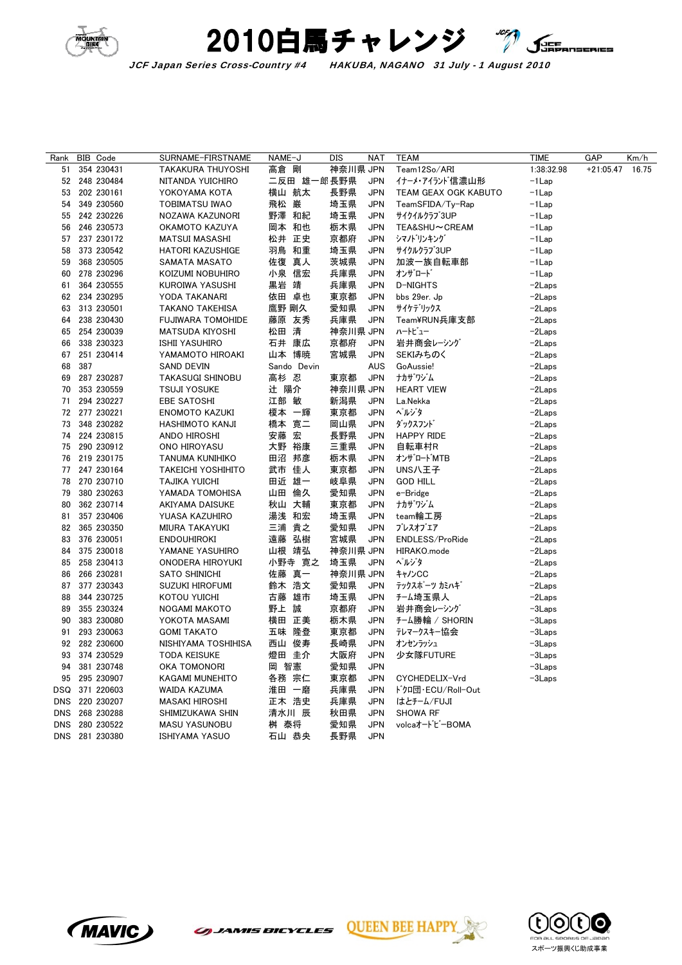



JCF Japan Series Cross-Country #4 HAKUBA, NAGANO 31 July - 1 August 2010

| Rank       | BIB Code       | SURNAME-FIRSTNAME         | NAME-J        |             | DIS      | <b>NAT</b> | <b>TEAM</b>                 | TIME       | <b>GAP</b>  | Km/h  |
|------------|----------------|---------------------------|---------------|-------------|----------|------------|-----------------------------|------------|-------------|-------|
| 51         | 354 230431     | TAKAKURA THUYOSHI         | 高倉 剛          |             | 神奈川県 JPN |            | Team12So/ARI                | 1:38:32.98 | $+21:05.47$ | 16.75 |
| 52         | 248 230484     | NITANDA YUICHIRO          |               | 二反田 雄一郎長野県  |          | <b>JPN</b> | イナーメ・アイランド信濃山形              | $-1$ Lap   |             |       |
| 53         | 202 230161     | YOKOYAMA KOTA             | 横山 航太         |             | 長野県      | <b>JPN</b> | <b>TEAM GEAX OGK KABUTO</b> | $-1$ Lap   |             |       |
| 54         | 349 230560     | TOBIMATSU IWAO            | 飛松 巌          |             | 埼玉県      | <b>JPN</b> | TeamSFIDA/Ty-Rap            | -1 Lap     |             |       |
| 55         | 242 230226     | NOZAWA KAZUNORI           | 野澤 和紀         |             | 埼玉県      | <b>JPN</b> | サイクイルクラブ3UP                 | $-1$ Lap   |             |       |
| 56         | 246 230573     | OKAMOTO KAZUYA            | 岡本 和也         |             | 栃木県      | <b>JPN</b> | TEA&SHU~CREAM               | -1Lap      |             |       |
| 57         | 237 230172     | <b>MATSUI MASASHI</b>     | 松井 正史         |             | 京都府      | <b>JPN</b> | シマノドリンキング                   | $-1$ Lap   |             |       |
| 58         | 373 230542     | <b>HATORI KAZUSHIGE</b>   | 羽鳥 和重         |             | 埼玉県      | <b>JPN</b> | サイクルクラブ3UP                  | -1Lap      |             |       |
| 59         | 368 230505     | SAMATA MASATO             | 佐復 真人         |             | 茨城県      | <b>JPN</b> | 加波一族自転車部                    | $-1$ Lap   |             |       |
| 60         | 278 230296     | KOIZUMI NOBUHIRO          | 小泉 信宏         |             | 兵庫県      | <b>JPN</b> | オンザロード                      | -1 Lap     |             |       |
| 61         | 364 230555     | KUROIWA YASUSHI           | 黒岩 靖          |             | 兵庫県      | <b>JPN</b> | D-NIGHTS                    | $-2$ Laps  |             |       |
| 62         | 234 230295     | YODA TAKANARI             | 依田 卓也         |             | 東京都      | <b>JPN</b> | bbs 29er. Jp                | -2Laps     |             |       |
| 63         | 313 230501     | <b>TAKANO TAKEHISA</b>    | 鷹野 剛久         |             | 愛知県      | <b>JPN</b> | サイケデリックス                    | $-2$ Laps  |             |       |
| 64         | 238 230430     | <b>FUJIWARA TOMOHIDE</b>  | 藤原 友秀         |             | 兵庫県      | <b>JPN</b> | Team¥RUN兵庫支部                | $-2$ Laps  |             |       |
| 65         | 254 230039     | <b>MATSUDA KIYOSHI</b>    | 松田 清          |             | 神奈川県 JPN |            | ハートビュー                      | $-2$ Laps  |             |       |
| 66         | 338 230323     | <b>ISHII YASUHIRO</b>     | 石井 康広         |             | 京都府      | <b>JPN</b> | 岩井商会レーシング                   | $-2$ Laps  |             |       |
| 67         | 251 230414     | YAMAMOTO HIROAKI          | 山本 博暁         |             | 宮城県      | <b>JPN</b> | SEKIみちのく                    | $-2$ Laps  |             |       |
| 68         | 387            | <b>SAND DEVIN</b>         |               | Sando Devin |          | <b>AUS</b> | GoAussie!                   | $-2$ Laps  |             |       |
| 69         | 287 230287     | <b>TAKASUGI SHINOBU</b>   | 高杉 忍          |             | 東京都      | <b>JPN</b> | ナカザリジム                      | $-2$ Laps  |             |       |
| 70         | 353 230559     | <b>TSUJI YOSUKE</b>       | 辻 陽介          |             | 神奈川県 JPN |            | <b>HEART VIEW</b>           | $-2$ Laps  |             |       |
| 71         | 294 230227     | EBE SATOSHI               | 江部 敏          |             | 新潟県      | <b>JPN</b> | La.Nekka                    | $-2$ Laps  |             |       |
| 72         | 277 230221     | <b>ENOMOTO KAZUKI</b>     | 榎本 一輝         |             | 東京都      | <b>JPN</b> | ヘルジタ                        | $-2$ Laps  |             |       |
| 73         | 348 230282     | HASHIMOTO KANJI           | 橋本 寛二         |             | 岡山県      | <b>JPN</b> | ダックスフンド                     | $-2$ Laps  |             |       |
| 74         | 224 230815     | ANDO HIROSHI              | 安藤 宏          |             | 長野県      | <b>JPN</b> | <b>HAPPY RIDE</b>           | $-2$ Laps  |             |       |
| 75         | 290 230912     | ONO HIROYASU              | 大野 裕康         |             | 三重県      | <b>JPN</b> | 自転車村R                       | $-2$ Laps  |             |       |
| 76         | 219 230175     | TANUMA KUNIHIKO           | 田沼 邦彦         |             | 栃木県      | <b>JPN</b> | オンザロート゛MTB                  | $-2$ Laps  |             |       |
| 77         | 247 230164     | <b>TAKEICHI YOSHIHITO</b> | 武市 佳人         |             | 東京都      | <b>JPN</b> | UNS八王子                      | $-2$ Laps  |             |       |
| 78         | 270 230710     | TAJIKA YUICHI             | 田近 雄一         |             | 岐阜県      | <b>JPN</b> | <b>GOD HILL</b>             | $-2$ Laps  |             |       |
| 79         | 380 230263     | YAMADA TOMOHISA           | 山田 倫久         |             | 愛知県      | <b>JPN</b> | e-Bridge                    | $-2$ Laps  |             |       |
| 80         | 362 230714     | AKIYAMA DAISUKE           | 秋山 大輔         |             | 東京都      | <b>JPN</b> | ナカザワジム                      | $-2$ Laps  |             |       |
| 81         | 357 230406     | YUASA KAZUHIRO            | 湯浅 和宏         |             | 埼玉県      | <b>JPN</b> | team輪工房                     | $-2$ Laps  |             |       |
| 82         | 365 230350     | MIURA TAKAYUKI            | 三浦 貴之         |             | 愛知県      | <b>JPN</b> | ブレスオブエア                     | -2Laps     |             |       |
| 83         | 376 230051     | <b>ENDOUHIROKI</b>        | 遠藤 弘樹         |             | 宮城県      | <b>JPN</b> | ENDLESS/ProRide             | $-2$ Laps  |             |       |
| 84         | 375 230018     | YAMANE YASUHIRO           | 山根 靖弘         |             | 神奈川県 JPN |            | HIRAKO.mode                 | -2Laps     |             |       |
| 85         | 258 230413     | ONODERA HIROYUKI          |               | 小野寺 寛之      | 埼玉県      | <b>JPN</b> | ヘルジタ                        | $-2$ Laps  |             |       |
| 86         | 266 230281     | <b>SATO SHINICHI</b>      | 佐藤 真一         |             | 神奈川県 JPN |            | キャノンCC                      | $-2$ Laps  |             |       |
| 87         | 377 230343     | <b>SUZUKI HIROFUMI</b>    | 鈴木 浩文         |             | 愛知県      | <b>JPN</b> | テックスポーツ カミハキ゛               | $-2$ Laps  |             |       |
| 88         | 344 230725     | KOTOU YUICHI              | 古藤 雄市         |             | 埼玉県      | <b>JPN</b> | チーム埼玉県人                     | $-2$ Laps  |             |       |
| 89         | 355 230324     | NOGAMI MAKOTO             | 野上 誠          |             | 京都府      | <b>JPN</b> | 岩井商会レーシング                   | $-3$ Laps  |             |       |
| 90         | 383 230080     | YOKOTA MASAMI             | 横田 正美         |             | 栃木県      | <b>JPN</b> | チーム勝輪 / SHORIN              | $-3$ Laps  |             |       |
| 91         | 293 230063     | <b>GOMI TAKATO</b>        | 五味 隆登         |             | 東京都      | <b>JPN</b> | テレマークスキー協会                  | -3Laps     |             |       |
| 92         | 282 230600     | NISHIYAMA TOSHIHISA       | 西山 俊寿         |             | 長崎県      | <b>JPN</b> | オンセンラッシュ                    | $-3$ Laps  |             |       |
| 93         | 374 230529     | TODA KEISUKE              |               |             | 大阪府      | <b>JPN</b> | 少女隊FUTURE                   | $-3$ Laps  |             |       |
| 94         | 381 230748     | OKA TOMONORI              | 燈田 圭介<br>岡 智憲 |             | 愛知県      | <b>JPN</b> |                             | $-3$ Laps  |             |       |
| 95         | 295 230907     |                           |               |             | 東京都      | <b>JPN</b> | CYCHEDELIX-Vrd              |            |             |       |
|            |                | KAGAMI MUNEHITO           | 各務 宗仁         |             |          |            |                             | -3Laps     |             |       |
| DSQ        | 371 220603     | WAIDA KAZUMA              | 淮田 一磨         |             | 兵庫県      | <b>JPN</b> | ト゚クロ団・ECU/Roll-Out          |            |             |       |
| <b>DNS</b> | 220 230207     | <b>MASAKI HIROSHI</b>     | 正木 浩史         |             | 兵庫県      | <b>JPN</b> | はとチーム/FUJI                  |            |             |       |
| <b>DNS</b> | 268 230288     | SHIMIZUKAWA SHIN          | 清水川 辰         |             | 秋田県      | <b>JPN</b> | <b>SHOWA RF</b>             |            |             |       |
| <b>DNS</b> | 280 230522     | <b>MASU YASUNOBU</b>      | 桝 泰将          |             | 愛知県      | <b>JPN</b> | volcaオードビーBOMA              |            |             |       |
|            | DNS 281 230380 | <b>ISHIYAMA YASUO</b>     | 石山 恭央         |             | 長野県      | <b>JPN</b> |                             |            |             |       |



**GUEEN BEE HAP**